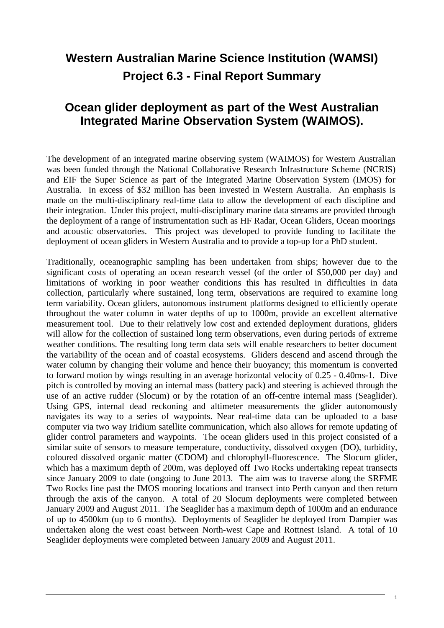## **Western Australian Marine Science Institution (WAMSI) Project 6.3 - Final Report Summary**

## **Ocean glider deployment as part of the West Australian Integrated Marine Observation System (WAIMOS).**

The development of an integrated marine observing system (WAIMOS) for Western Australian was been funded through the National Collaborative Research Infrastructure Scheme (NCRIS) and EIF the Super Science as part of the Integrated Marine Observation System (IMOS) for Australia. In excess of \$32 million has been invested in Western Australia. An emphasis is made on the multi-disciplinary real-time data to allow the development of each discipline and their integration. Under this project, multi-disciplinary marine data streams are provided through the deployment of a range of instrumentation such as HF Radar, Ocean Gliders, Ocean moorings and acoustic observatories. This project was developed to provide funding to facilitate the deployment of ocean gliders in Western Australia and to provide a top-up for a PhD student.

Traditionally, oceanographic sampling has been undertaken from ships; however due to the significant costs of operating an ocean research vessel (of the order of \$50,000 per day) and limitations of working in poor weather conditions this has resulted in difficulties in data collection, particularly where sustained, long term, observations are required to examine long term variability. Ocean gliders, autonomous instrument platforms designed to efficiently operate throughout the water column in water depths of up to 1000m, provide an excellent alternative measurement tool. Due to their relatively low cost and extended deployment durations, gliders will allow for the collection of sustained long term observations, even during periods of extreme weather conditions. The resulting long term data sets will enable researchers to better document the variability of the ocean and of coastal ecosystems. Gliders descend and ascend through the water column by changing their volume and hence their buoyancy; this momentum is converted to forward motion by wings resulting in an average horizontal velocity of 0.25 - 0.40ms-1. Dive pitch is controlled by moving an internal mass (battery pack) and steering is achieved through the use of an active rudder (Slocum) or by the rotation of an off-centre internal mass (Seaglider). Using GPS, internal dead reckoning and altimeter measurements the glider autonomously navigates its way to a series of waypoints. Near real-time data can be uploaded to a base computer via two way Iridium satellite communication, which also allows for remote updating of glider control parameters and waypoints. The ocean gliders used in this project consisted of a similar suite of sensors to measure temperature, conductivity, dissolved oxygen (DO), turbidity, coloured dissolved organic matter (CDOM) and chlorophyll-fluorescence. The Slocum glider, which has a maximum depth of 200m, was deployed off Two Rocks undertaking repeat transects since January 2009 to date (ongoing to June 2013. The aim was to traverse along the SRFME Two Rocks line past the IMOS mooring locations and transect into Perth canyon and then return through the axis of the canyon. A total of 20 Slocum deployments were completed between January 2009 and August 2011. The Seaglider has a maximum depth of 1000m and an endurance of up to 4500km (up to 6 months). Deployments of Seaglider be deployed from Dampier was undertaken along the west coast between North-west Cape and Rottnest Island. A total of 10 Seaglider deployments were completed between January 2009 and August 2011.